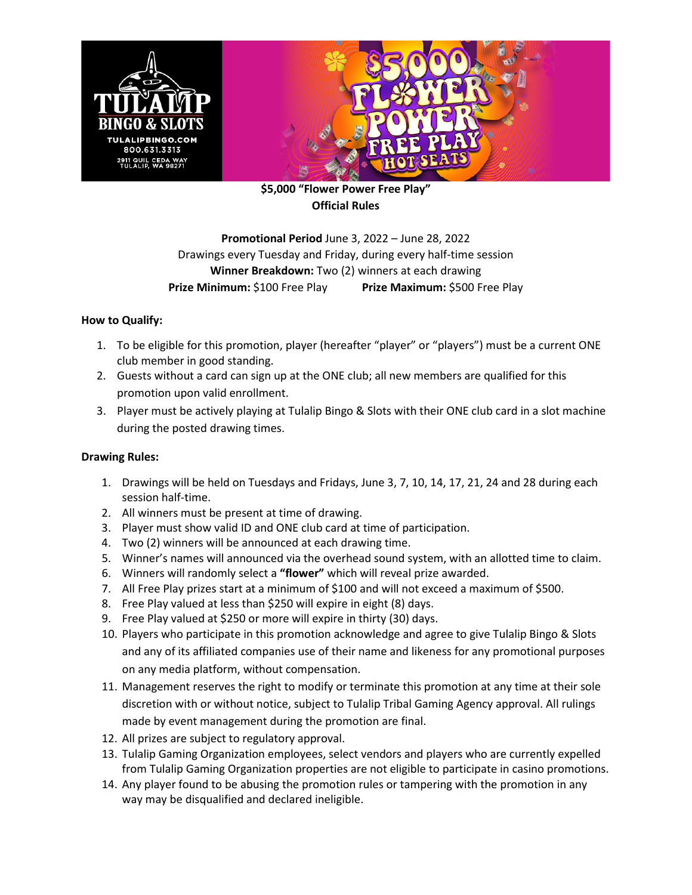

**\$5,000 "Flower Power Free Play" Official Rules**

## **Promotional Period** June 3, 2022 – June 28, 2022 Drawings every Tuesday and Friday, during every half-time session **Winner Breakdown:** Two (2) winners at each drawing **Prize Minimum:** \$100 Free Play **Prize Maximum:** \$500 Free Play

## **How to Qualify:**

- 1. To be eligible for this promotion, player (hereafter "player" or "players") must be a current ONE club member in good standing.
- 2. Guests without a card can sign up at the ONE club; all new members are qualified for this promotion upon valid enrollment.
- 3. Player must be actively playing at Tulalip Bingo & Slots with their ONE club card in a slot machine during the posted drawing times.

## **Drawing Rules:**

- 1. Drawings will be held on Tuesdays and Fridays, June 3, 7, 10, 14, 17, 21, 24 and 28 during each session half-time.
- 2. All winners must be present at time of drawing.
- 3. Player must show valid ID and ONE club card at time of participation.
- 4. Two (2) winners will be announced at each drawing time.
- 5. Winner's names will announced via the overhead sound system, with an allotted time to claim.
- 6. Winners will randomly select a **"flower"** which will reveal prize awarded.
- 7. All Free Play prizes start at a minimum of \$100 and will not exceed a maximum of \$500.
- 8. Free Play valued at less than \$250 will expire in eight (8) days.
- 9. Free Play valued at \$250 or more will expire in thirty (30) days.
- 10. Players who participate in this promotion acknowledge and agree to give Tulalip Bingo & Slots and any of its affiliated companies use of their name and likeness for any promotional purposes on any media platform, without compensation.
- 11. Management reserves the right to modify or terminate this promotion at any time at their sole discretion with or without notice, subject to Tulalip Tribal Gaming Agency approval. All rulings made by event management during the promotion are final.
- 12. All prizes are subject to regulatory approval.
- 13. Tulalip Gaming Organization employees, select vendors and players who are currently expelled from Tulalip Gaming Organization properties are not eligible to participate in casino promotions.
- 14. Any player found to be abusing the promotion rules or tampering with the promotion in any way may be disqualified and declared ineligible.